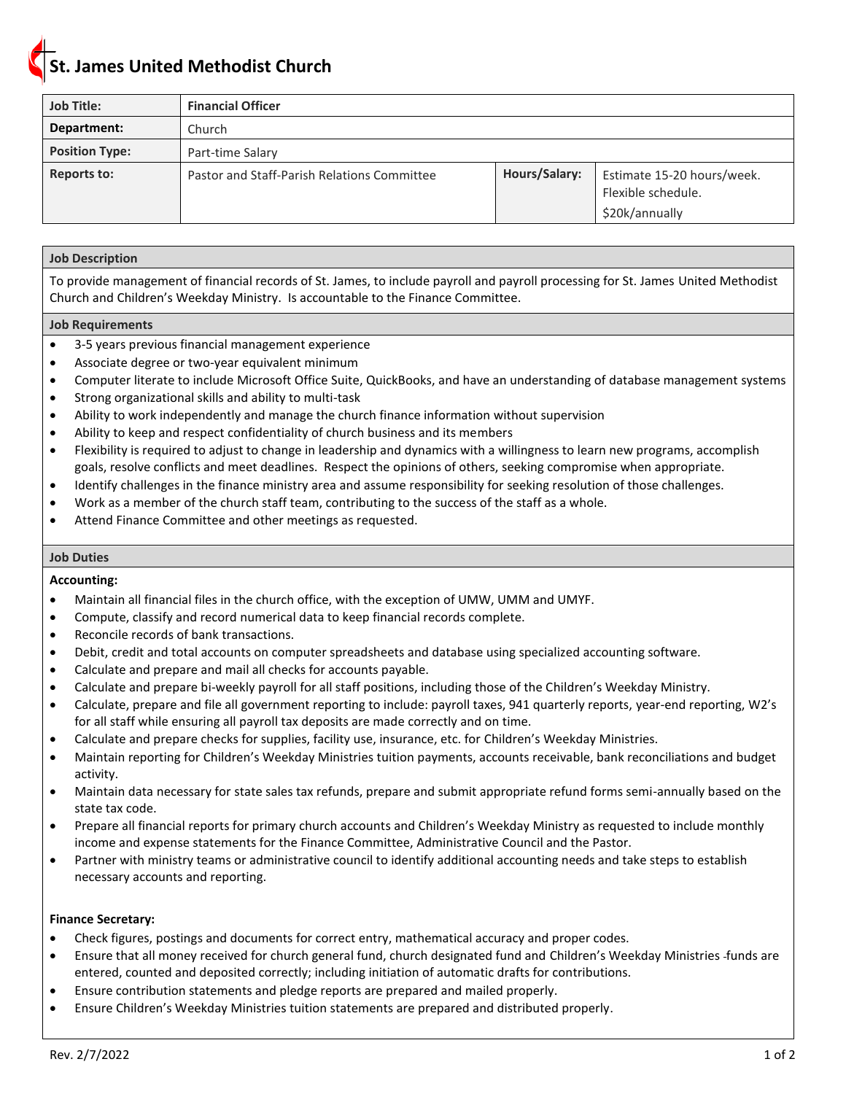## **St. James United Methodist Church**

| <b>Job Title:</b>     | <b>Financial Officer</b>                    |               |                                                                    |
|-----------------------|---------------------------------------------|---------------|--------------------------------------------------------------------|
| Department:           | Church                                      |               |                                                                    |
| <b>Position Type:</b> | Part-time Salary                            |               |                                                                    |
| Reports to:           | Pastor and Staff-Parish Relations Committee | Hours/Salary: | Estimate 15-20 hours/week.<br>Flexible schedule.<br>\$20k/annually |

### **Job Description**

To provide management of financial records of St. James, to include payroll and payroll processing for St. James United Methodist Church and Children's Weekday Ministry. Is accountable to the Finance Committee.

### **Job Requirements**

- 3-5 years previous financial management experience
- Associate degree or two-year equivalent minimum
- Computer literate to include Microsoft Office Suite, QuickBooks, and have an understanding of database management systems
- Strong organizational skills and ability to multi-task
- Ability to work independently and manage the church finance information without supervision
- Ability to keep and respect confidentiality of church business and its members
- Flexibility is required to adjust to change in leadership and dynamics with a willingness to learn new programs, accomplish goals, resolve conflicts and meet deadlines. Respect the opinions of others, seeking compromise when appropriate.
- Identify challenges in the finance ministry area and assume responsibility for seeking resolution of those challenges.
- Work as a member of the church staff team, contributing to the success of the staff as a whole.
- Attend Finance Committee and other meetings as requested.

### **Job Duties**

### **Accounting:**

- Maintain all financial files in the church office, with the exception of UMW, UMM and UMYF.
- Compute, classify and record numerical data to keep financial records complete.
- Reconcile records of bank transactions.
- Debit, credit and total accounts on computer spreadsheets and database using specialized accounting software.
- Calculate and prepare and mail all checks for accounts payable.
- Calculate and prepare bi-weekly payroll for all staff positions, including those of the Children's Weekday Ministry.
- Calculate, prepare and file all government reporting to include: payroll taxes, 941 quarterly reports, year-end reporting, W2's for all staff while ensuring all payroll tax deposits are made correctly and on time.
- Calculate and prepare checks for supplies, facility use, insurance, etc. for Children's Weekday Ministries.
- Maintain reporting for Children's Weekday Ministries tuition payments, accounts receivable, bank reconciliations and budget activity.
- Maintain data necessary for state sales tax refunds, prepare and submit appropriate refund forms semi-annually based on the state tax code.
- Prepare all financial reports for primary church accounts and Children's Weekday Ministry as requested to include monthly income and expense statements for the Finance Committee, Administrative Council and the Pastor.
- Partner with ministry teams or administrative council to identify additional accounting needs and take steps to establish necessary accounts and reporting.

### **Finance Secretary:**

- Check figures, postings and documents for correct entry, mathematical accuracy and proper codes.
- Ensure that all money received for church general fund, church designated fund and Children's Weekday Ministries funds are entered, counted and deposited correctly; including initiation of automatic drafts for contributions.
- Ensure contribution statements and pledge reports are prepared and mailed properly.
- Ensure Children's Weekday Ministries tuition statements are prepared and distributed properly.